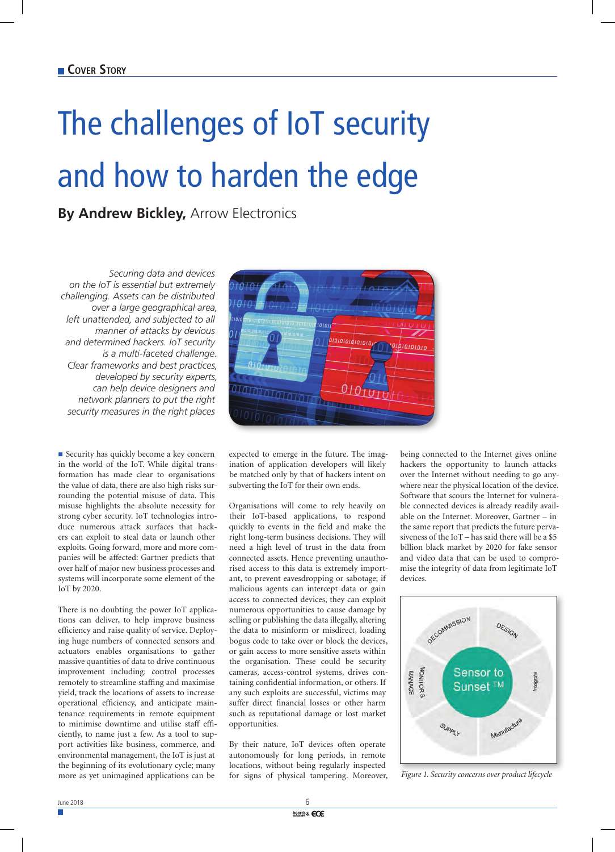## The challenges of IoT security and how to harden the edge

**By Andrew Bickley,** Arrow Electronics

*Securing data and devices on the IoT is essential but extremely challenging. Assets can be distributed over a large geographical area, left unattended, and subjected to all manner of attacks by devious and determined hackers. IoT security is a multi-faceted challenge. Clear frameworks and best practices, developed by security experts, can help device designers and network planners to put the right security measures in the right places*

■ Security has quickly become a key concern in the world of the IoT. While digital transformation has made clear to organisations the value of data, there are also high risks surrounding the potential misuse of data. This misuse highlights the absolute necessity for strong cyber security. IoT technologies introduce numerous attack surfaces that hackers can exploit to steal data or launch other exploits. Going forward, more and more companies will be affected: Gartner predicts that over half of major new business processes and systems will incorporate some element of the IoT by 2020.

There is no doubting the power IoT applications can deliver, to help improve business efficiency and raise quality of service. Deploying huge numbers of connected sensors and actuators enables organisations to gather massive quantities of data to drive continuous improvement including: control processes remotely to streamline staffing and maximise yield, track the locations of assets to increase operational efficiency, and anticipate maintenance requirements in remote equipment to minimise downtime and utilise staff efficiently, to name just a few. As a tool to support activities like business, commerce, and environmental management, the IoT is just at the beginning of its evolutionary cycle; many more as yet unimagined applications can be



expected to emerge in the future. The imagination of application developers will likely be matched only by that of hackers intent on subverting the IoT for their own ends.

Organisations will come to rely heavily on their IoT-based applications, to respond quickly to events in the field and make the right long-term business decisions. They will need a high level of trust in the data from connected assets. Hence preventing unauthorised access to this data is extremely important, to prevent eavesdropping or sabotage; if malicious agents can intercept data or gain access to connected devices, they can exploit numerous opportunities to cause damage by selling or publishing the data illegally, altering the data to misinform or misdirect, loading bogus code to take over or block the devices, or gain access to more sensitive assets within the organisation. These could be security cameras, access-control systems, drives containing confidential information, or others. If any such exploits are successful, victims may suffer direct financial losses or other harm such as reputational damage or lost market opportunities.

By their nature, IoT devices often operate autonomously for long periods, in remote locations, without being regularly inspected for signs of physical tampering. Moreover,

being connected to the Internet gives online hackers the opportunity to launch attacks over the Internet without needing to go anywhere near the physical location of the device. Software that scours the Internet for vulnerable connected devices is already readily available on the Internet. Moreover, Gartner – in the same report that predicts the future pervasiveness of the IoT – has said there will be a \$5 billion black market by 2020 for fake sensor and video data that can be used to compromise the integrity of data from legitimate IoT devices.



*Figure 1. Security concerns over product lifecycle*